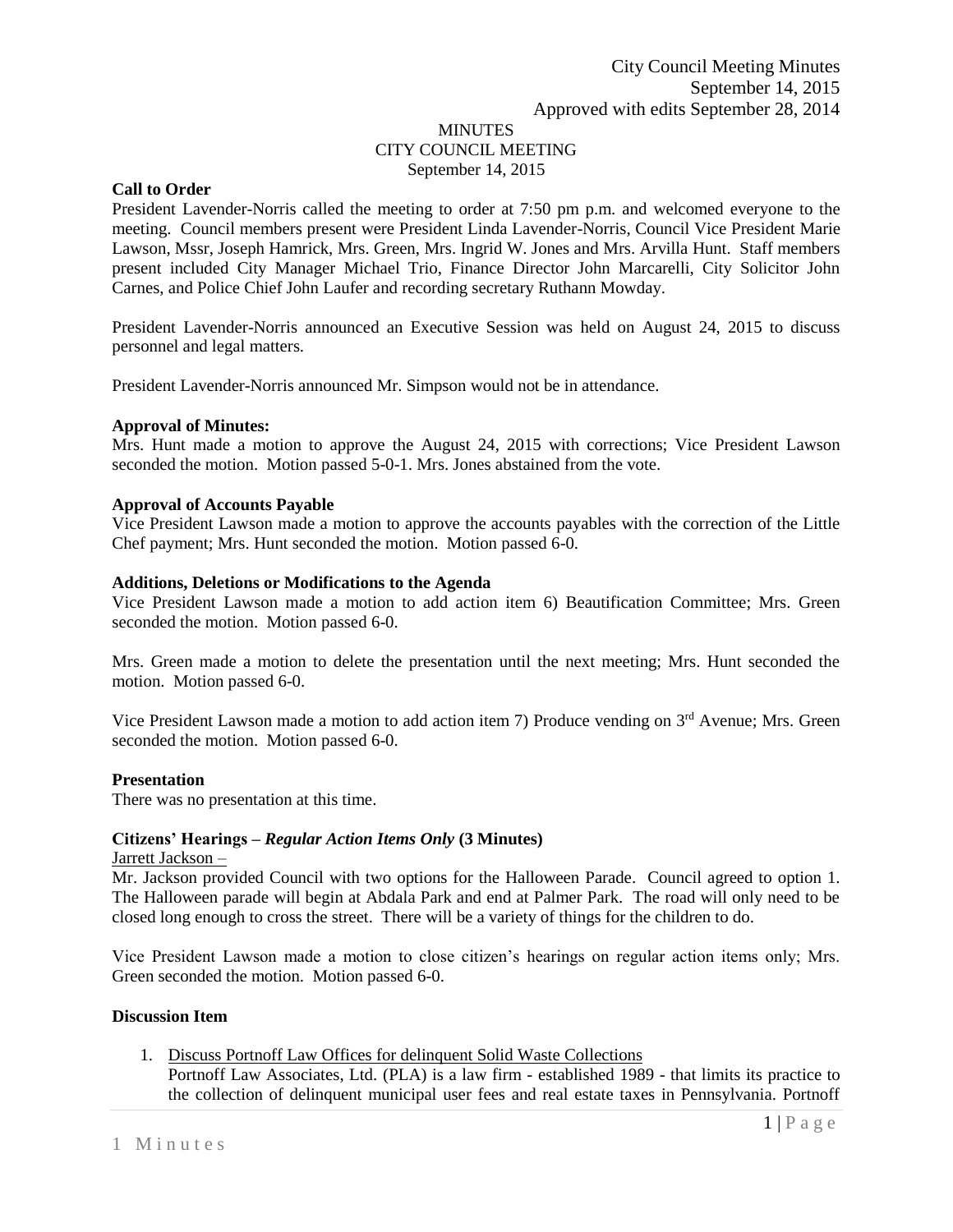# MINUTES CITY COUNCIL MEETING September 14, 2015

## **Call to Order**

President Lavender-Norris called the meeting to order at 7:50 pm p.m. and welcomed everyone to the meeting. Council members present were President Linda Lavender-Norris, Council Vice President Marie Lawson, Mssr, Joseph Hamrick, Mrs. Green, Mrs. Ingrid W. Jones and Mrs. Arvilla Hunt. Staff members present included City Manager Michael Trio, Finance Director John Marcarelli, City Solicitor John Carnes, and Police Chief John Laufer and recording secretary Ruthann Mowday.

President Lavender-Norris announced an Executive Session was held on August 24, 2015 to discuss personnel and legal matters.

President Lavender-Norris announced Mr. Simpson would not be in attendance.

### **Approval of Minutes:**

Mrs. Hunt made a motion to approve the August 24, 2015 with corrections; Vice President Lawson seconded the motion. Motion passed 5-0-1. Mrs. Jones abstained from the vote.

### **Approval of Accounts Payable**

Vice President Lawson made a motion to approve the accounts payables with the correction of the Little Chef payment; Mrs. Hunt seconded the motion. Motion passed 6-0.

### **Additions, Deletions or Modifications to the Agenda**

Vice President Lawson made a motion to add action item 6) Beautification Committee; Mrs. Green seconded the motion. Motion passed 6-0.

Mrs. Green made a motion to delete the presentation until the next meeting; Mrs. Hunt seconded the motion. Motion passed 6-0.

Vice President Lawson made a motion to add action item 7) Produce vending on 3<sup>rd</sup> Avenue; Mrs. Green seconded the motion. Motion passed 6-0.

#### **Presentation**

There was no presentation at this time.

## **Citizens' Hearings –** *Regular Action Items Only* **(3 Minutes)**

#### Jarrett Jackson –

Mr. Jackson provided Council with two options for the Halloween Parade. Council agreed to option 1. The Halloween parade will begin at Abdala Park and end at Palmer Park. The road will only need to be closed long enough to cross the street. There will be a variety of things for the children to do.

Vice President Lawson made a motion to close citizen's hearings on regular action items only; Mrs. Green seconded the motion. Motion passed 6-0.

#### **Discussion Item**

1. Discuss Portnoff Law Offices for delinquent Solid Waste Collections

Portnoff Law Associates, Ltd. (PLA) is a law firm - established 1989 - that limits its practice to the collection of delinquent municipal user fees and real estate taxes in Pennsylvania. Portnoff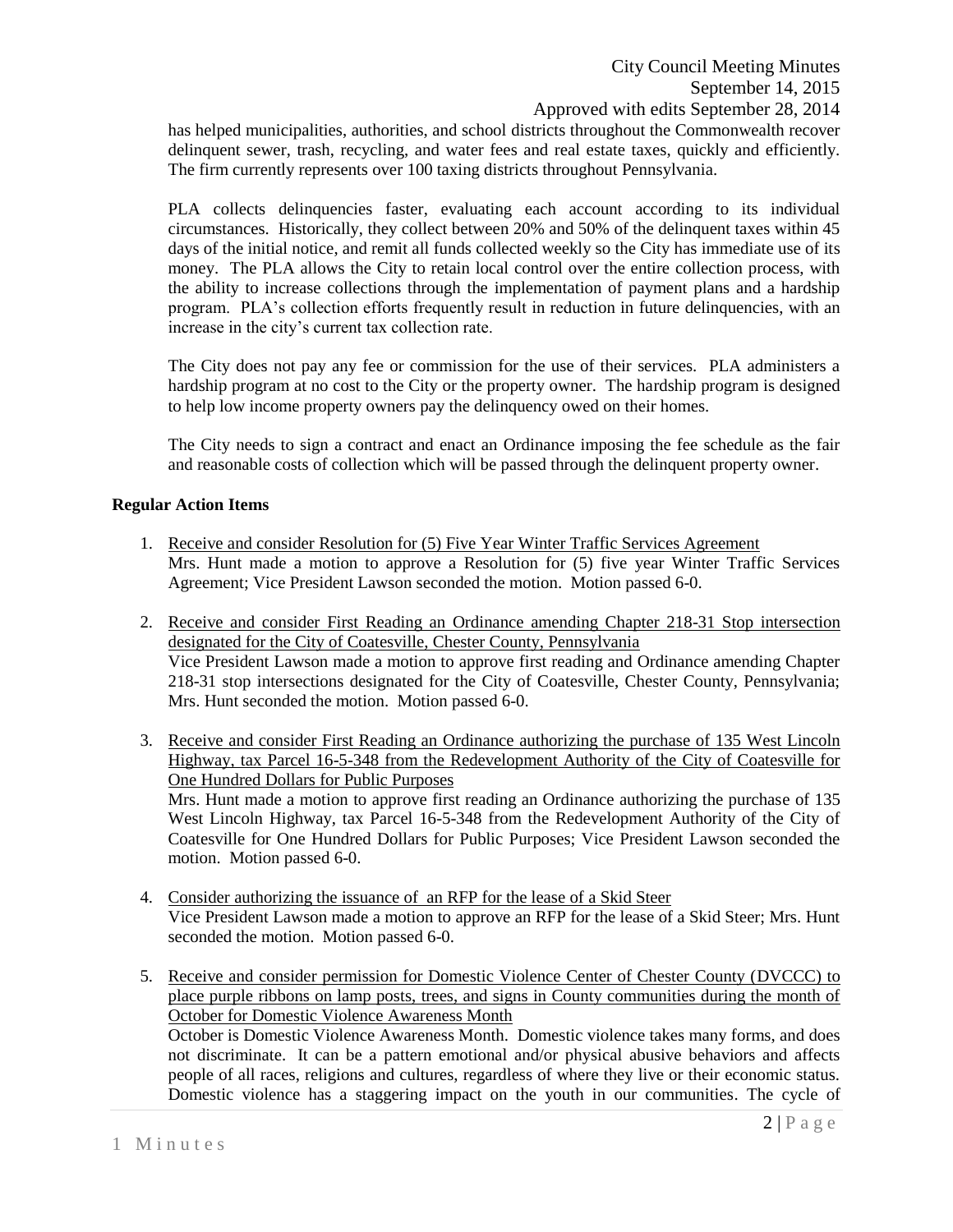has helped municipalities, authorities, and school districts throughout the Commonwealth recover delinquent sewer, trash, recycling, and water fees and real estate taxes, quickly and efficiently. The firm currently represents over 100 taxing districts throughout Pennsylvania.

PLA collects delinquencies faster, evaluating each account according to its individual circumstances. Historically, they collect between 20% and 50% of the delinquent taxes within 45 days of the initial notice, and remit all funds collected weekly so the City has immediate use of its money. The PLA allows the City to retain local control over the entire collection process, with the ability to increase collections through the implementation of payment plans and a hardship program. PLA's collection efforts frequently result in reduction in future delinquencies, with an increase in the city's current tax collection rate.

The City does not pay any fee or commission for the use of their services. PLA administers a hardship program at no cost to the City or the property owner. The hardship program is designed to help low income property owners pay the delinquency owed on their homes.

The City needs to sign a contract and enact an Ordinance imposing the fee schedule as the fair and reasonable costs of collection which will be passed through the delinquent property owner.

## **Regular Action Items**

- 1. Receive and consider Resolution for (5) Five Year Winter Traffic Services Agreement Mrs. Hunt made a motion to approve a Resolution for (5) five year Winter Traffic Services Agreement; Vice President Lawson seconded the motion. Motion passed 6-0.
- 2. Receive and consider First Reading an Ordinance amending Chapter 218-31 Stop intersection designated for the City of Coatesville, Chester County, Pennsylvania Vice President Lawson made a motion to approve first reading and Ordinance amending Chapter 218-31 stop intersections designated for the City of Coatesville, Chester County, Pennsylvania; Mrs. Hunt seconded the motion. Motion passed 6-0.
- 3. Receive and consider First Reading an Ordinance authorizing the purchase of 135 West Lincoln Highway, tax Parcel 16-5-348 from the Redevelopment Authority of the City of Coatesville for One Hundred Dollars for Public Purposes Mrs. Hunt made a motion to approve first reading an Ordinance authorizing the purchase of 135 West Lincoln Highway, tax Parcel 16-5-348 from the Redevelopment Authority of the City of Coatesville for One Hundred Dollars for Public Purposes; Vice President Lawson seconded the motion. Motion passed 6-0.
- 4. Consider authorizing the issuance of an RFP for the lease of a Skid Steer Vice President Lawson made a motion to approve an RFP for the lease of a Skid Steer; Mrs. Hunt seconded the motion. Motion passed 6-0.
- 5. Receive and consider permission for Domestic Violence Center of Chester County (DVCCC) to place purple ribbons on lamp posts, trees, and signs in County communities during the month of October for Domestic Violence Awareness Month

October is Domestic Violence Awareness Month. Domestic violence takes many forms, and does not discriminate. It can be a pattern emotional and/or physical abusive behaviors and affects people of all races, religions and cultures, regardless of where they live or their economic status. Domestic violence has a staggering impact on the youth in our communities. The cycle of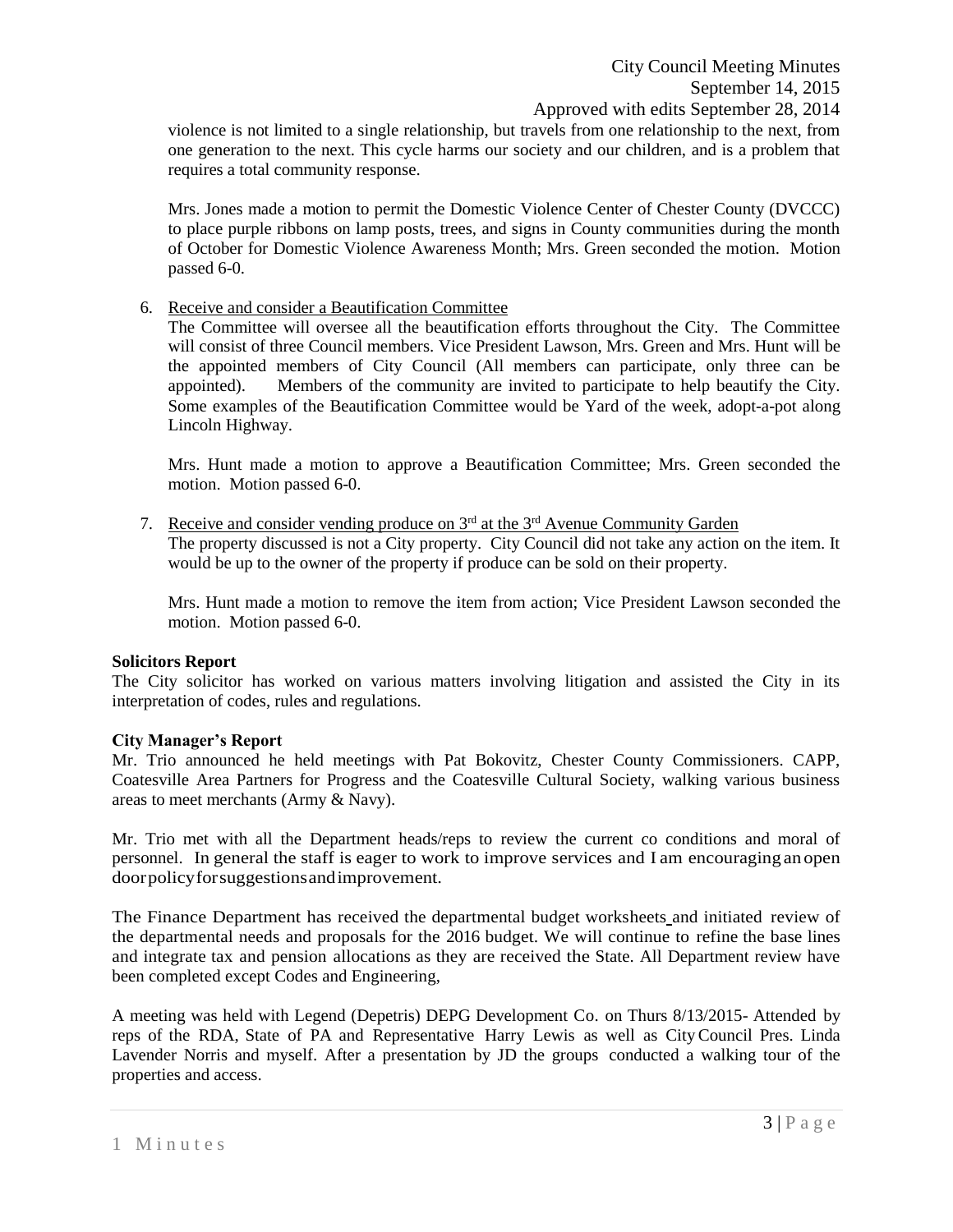violence is not limited to a single relationship, but travels from one relationship to the next, from one generation to the next. This cycle harms our society and our children, and is a problem that requires a total community response.

Mrs. Jones made a motion to permit the Domestic Violence Center of Chester County (DVCCC) to place purple ribbons on lamp posts, trees, and signs in County communities during the month of October for Domestic Violence Awareness Month; Mrs. Green seconded the motion. Motion passed 6-0.

6. Receive and consider a Beautification Committee

The Committee will oversee all the beautification efforts throughout the City. The Committee will consist of three Council members. Vice President Lawson, Mrs. Green and Mrs. Hunt will be the appointed members of City Council (All members can participate, only three can be appointed). Members of the community are invited to participate to help beautify the City. Some examples of the Beautification Committee would be Yard of the week, adopt-a-pot along Lincoln Highway.

Mrs. Hunt made a motion to approve a Beautification Committee; Mrs. Green seconded the motion. Motion passed 6-0.

7. Receive and consider vending produce on  $3<sup>rd</sup>$  at the  $3<sup>rd</sup>$  Avenue Community Garden

The property discussed is not a City property. City Council did not take any action on the item. It would be up to the owner of the property if produce can be sold on their property.

Mrs. Hunt made a motion to remove the item from action; Vice President Lawson seconded the motion. Motion passed 6-0.

## **Solicitors Report**

The City solicitor has worked on various matters involving litigation and assisted the City in its interpretation of codes, rules and regulations.

## **City Manager's Report**

Mr. Trio announced he held meetings with Pat Bokovitz, Chester County Commissioners. CAPP, Coatesville Area Partners for Progress and the Coatesville Cultural Society, walking various business areas to meet merchants (Army & Navy).

Mr. Trio met with all the Department heads/reps to review the current co conditions and moral of personnel. In general the staff is eager to work to improve services and I am encouraging an open doorpolicyforsuggestionsandimprovement.

The Finance Department has received the departmental budget worksheets and initiated review of the departmental needs and proposals for the 2016 budget. We will continue to refine the base lines and integrate tax and pension allocations as they are received the State. All Department review have been completed except Codes and Engineering,

A meeting was held with Legend (Depetris) DEPG Development Co. on Thurs 8/13/2015- Attended by reps of the RDA, State of PA and Representative Harry Lewis as well as CityCouncil Pres. Linda Lavender Norris and myself. After a presentation by JD the groups conducted a walking tour of the properties and access.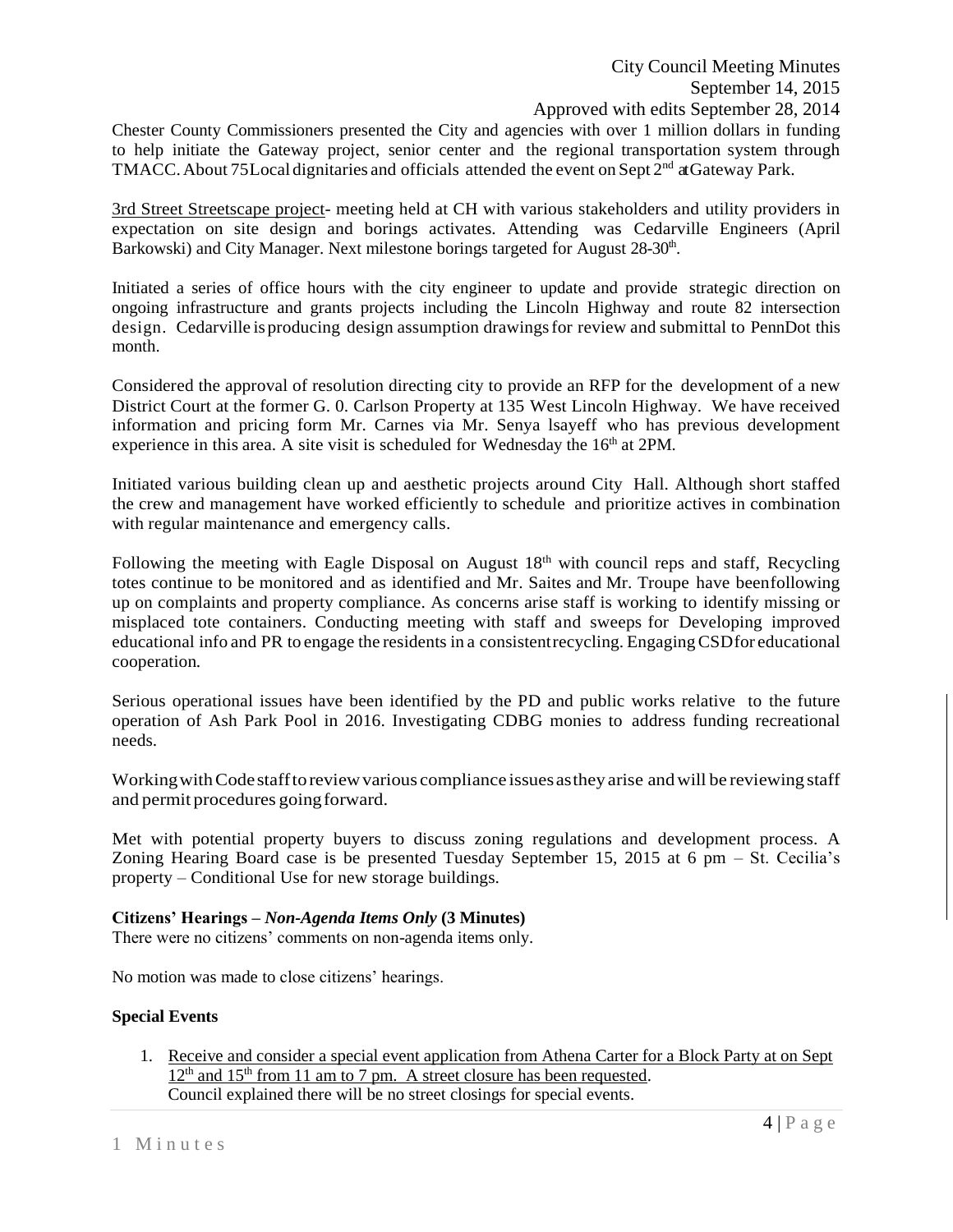Chester County Commissioners presented the City and agencies with over 1 million dollars in funding to help initiate the Gateway project, senior center and the regional transportation system through TMACC. About 75 Local dignitaries and officials attended the event on Sept 2<sup>nd</sup> at Gateway Park.

3rd Street Streetscape project- meeting held at CH with various stakeholders and utility providers in expectation on site design and borings activates. Attending was Cedarville Engineers (April Barkowski) and City Manager. Next milestone borings targeted for August 28-30<sup>th</sup>.

Initiated a series of office hours with the city engineer to update and provide strategic direction on ongoing infrastructure and grants projects including the Lincoln Highway and route 82 intersection design. Cedarville is producing design assumption drawingsfor review and submittal to PennDot this month.

Considered the approval of resolution directing city to provide an RFP for the development of a new District Court at the former G. 0. Carlson Property at 135 West Lincoln Highway. We have received information and pricing form Mr. Carnes via Mr. Senya lsayeff who has previous development experience in this area. A site visit is scheduled for Wednesday the  $16<sup>th</sup>$  at 2PM.

Initiated various building clean up and aesthetic projects around City Hall. Although short staffed the crew and management have worked efficiently to schedule and prioritize actives in combination with regular maintenance and emergency calls.

Following the meeting with Eagle Disposal on August 18<sup>th</sup> with council reps and staff, Recycling totes continue to be monitored and as identified and Mr. Saites and Mr. Troupe have beenfollowing up on complaints and property compliance. As concerns arise staff is working to identify missing or misplaced tote containers. Conducting meeting with staff and sweeps for Developing improved educational info and PR to engage the residents in a consistentrecycling. EngagingCSDfor educational cooperation*.*

Serious operational issues have been identified by the PD and public works relative to the future operation of Ash Park Pool in 2016. Investigating CDBG monies to address funding recreational needs.

Working with Code staff to review various compliance issues as they arise and will be reviewing staff and permit procedures going forward.

Met with potential property buyers to discuss zoning regulations and development process. A Zoning Hearing Board case is be presented Tuesday September 15, 2015 at 6 pm – St. Cecilia's property – Conditional Use for new storage buildings.

## **Citizens' Hearings –** *Non-Agenda Items Only* **(3 Minutes)**

There were no citizens' comments on non-agenda items only.

No motion was made to close citizens' hearings.

## **Special Events**

1. Receive and consider a special event application from Athena Carter for a Block Party at on Sept  $12<sup>th</sup>$  and  $15<sup>th</sup>$  from 11 am to 7 pm. A street closure has been requested. Council explained there will be no street closings for special events.